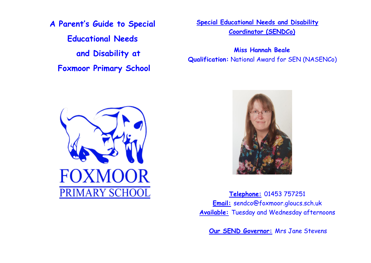**A Parent's Guide to Special Educational Needs and Disability at Foxmoor Primary School**

**Special Educational Needs and Disability Coordinator (SENDCo)**

**Miss Hannah Beale Qualification:** National Award for SEN (NASENCo)





**Telephone:** 01453 757251 **Email:** sendco@foxmoor.gloucs.sch.uk **Available:** Tuesday and Wednesday afternoons

**Our SEND Governor:** Mrs Jane Stevens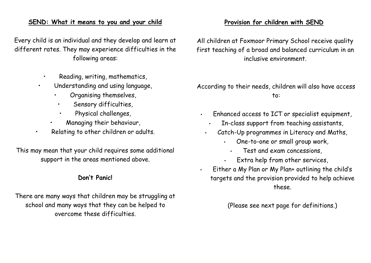### **SEND: What it means to you and your child**

Every child is an individual and they develop and learn at different rates. They may experience difficulties in the following areas:

- Reading, writing, mathematics,
- Understanding and using language,
	- Organising themselves,
	- Sensory difficulties,
	- Physical challenges,
	- Managing their behaviour,
- Relating to other children or adults.

This may mean that your child requires some additional support in the areas mentioned above.

#### **Don't Panic!**

There are many ways that children may be struggling at school and many ways that they can be helped to overcome these difficulties.

## **Provision for children with SEND**

All children at Foxmoor Primary School receive quality first teaching of a broad and balanced curriculum in an inclusive environment.

According to their needs, children will also have access to:

- Enhanced access to ICT or specialist equipment,
	- In-class support from teaching assistants,
	- Catch-Up programmes in Literacy and Maths,
		- One-to-one or small group work,
			- Test and exam concessions,
		- Extra help from other services,
- Either a My Plan or My Plan+ outlining the child's targets and the provision provided to help achieve these.

(Please see next page for definitions.)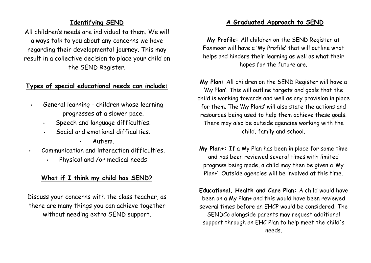## **Identifying SEND**

All children's needs are individual to them. We will always talk to you about any concerns we have regarding their developmental journey. This may result in a collective decision to place your child on the SEND Register.

## **Types of special educational needs can include:**

- General learning children whose learning progresses at a slower pace.
	- Speech and language difficulties.
	- Social and emotional difficulties.
		- Autism.
- Communication and interaction difficulties.
	- Physical and /or medical needs

# **What if I think my child has SEND?**

Discuss your concerns with the class teacher, as there are many things you can achieve together without needing extra SEND support.

# **A Graduated Approach to SEND**

**My Profile:** All children on the SEND Register at Foxmoor will have a 'My Profile' that will outline what helps and hinders their learning as well as what their hopes for the future are.

**My Plan:** All children on the SEND Register will have a 'My Plan'. This will outline targets and goals that the child is working towards and well as any provision in place for them. The 'My Plans' will also state the actions and resources being used to help them achieve these goals. There may also be outside agencies working with the child, family and school.

**My Plan+:** If a My Plan has been in place for some time and has been reviewed several times with limited progress being made, a child may then be given a 'My Plan+'. Outside agencies will be involved at this time.

**Educational, Health and Care Plan:** A child would have been on a My Plan+ and this would have been reviewed several times before an EHCP would be considered. The SENDCo alongside parents may request additional support through an EHC Plan to help meet the child's needs.